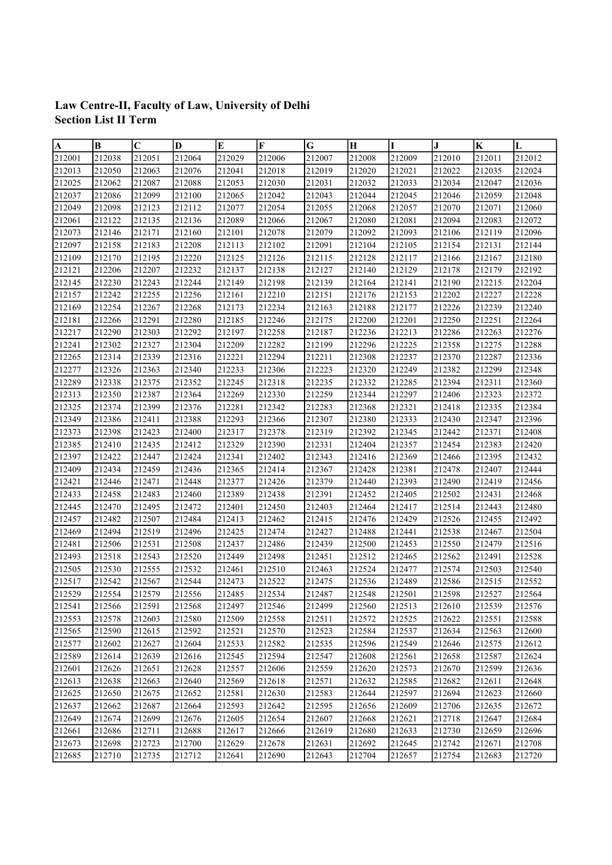## Law Centre-II, Faculty of Law, University of Delhi Section List II Term

| $\boldsymbol{A}$ | B      | $ {\bf C}$ | D      | E      | F      | G      | H      | I      | J      | $\mathbf K$ | L      |
|------------------|--------|------------|--------|--------|--------|--------|--------|--------|--------|-------------|--------|
| 212001           | 212038 | 212051     | 212064 | 212029 | 212006 | 212007 | 212008 | 212009 | 212010 | 212011      | 212012 |
| 212013           | 212050 | 212063     | 212076 | 212041 | 212018 | 212019 | 212020 | 212021 | 212022 | 212035      | 212024 |
| 212025           | 212062 | 212087     | 212088 | 212053 | 212030 | 212031 | 212032 | 212033 | 212034 | 212047      | 212036 |
| 212037           | 212086 | 212099     | 212100 | 212065 | 212042 | 212043 | 212044 | 212045 | 212046 | 212059      | 212048 |
| 212049           | 212098 | 212123     | 212112 | 212077 | 212054 | 212055 | 212068 | 212057 | 212070 | 212071      | 212060 |
| 212061           | 212122 | 212135     | 212136 | 212089 | 212066 | 212067 | 212080 | 212081 | 212094 | 212083      | 212072 |
| 212073           | 212146 | 212171     | 212160 | 212101 | 212078 | 212079 | 212092 | 212093 | 212106 | 212119      | 212096 |
| 212097           | 212158 | 212183     | 212208 | 212113 | 212102 | 212091 | 212104 | 212105 | 212154 | 212131      | 212144 |
| 212109           | 212170 | 212195     | 212220 | 212125 | 212126 | 212115 | 212128 | 212117 | 212166 | 212167      | 212180 |
| 212121           | 212206 | 212207     | 212232 | 212137 | 212138 | 212127 | 212140 | 212129 | 212178 | 212179      | 212192 |
| 212145           | 212230 | 212243     | 212244 | 212149 | 212198 | 212139 | 212164 | 212141 | 212190 | 212215      | 212204 |
| 212157           | 212242 | 212255     | 212256 | 212161 | 212210 | 212151 | 212176 | 212153 | 212202 | 212227      | 212228 |
| 212169           | 212254 | 212267     | 212268 | 212173 | 212234 | 212163 | 212188 | 212177 | 212226 | 212239      | 212240 |
| 212181           | 212266 | 212291     | 212280 | 212185 | 212246 | 212175 | 212200 | 212201 | 212250 | 212251      | 212264 |
| 212217           | 212290 | 212303     | 212292 | 212197 | 212258 | 212187 | 212236 | 212213 | 212286 | 212263      | 212276 |
| 212241           | 212302 | 212327     | 212304 | 212209 | 212282 | 212199 | 212296 | 212225 | 212358 | 212275      | 212288 |
| 212265           | 212314 | 212339     | 212316 | 212221 | 212294 | 212211 | 212308 | 212237 | 212370 | 212287      | 212336 |
| 212277           | 212326 | 212363     | 212340 | 212233 | 212306 | 212223 | 212320 | 212249 | 212382 | 212299      | 212348 |
| 212289           | 212338 | 212375     | 212352 | 212245 | 212318 | 212235 | 212332 | 212285 | 212394 | 212311      | 212360 |
| 212313           | 212350 | 212387     | 212364 | 212269 | 212330 | 212259 | 212344 | 212297 | 212406 | 212323      | 212372 |
| 212325           | 212374 | 212399     | 212376 | 212281 | 212342 | 212283 | 212368 | 212321 | 212418 | 212335      | 212384 |
| 212349           | 212386 | 212411     | 212388 | 212293 | 212366 | 212307 | 212380 | 212333 | 212430 | 212347      | 212396 |
| 212373           | 212398 | 212423     | 212400 | 212317 | 212378 | 212319 | 212392 | 212345 | 212442 | 212371      | 212408 |
| 212385           | 212410 | 212435     | 212412 | 212329 | 212390 | 212331 | 212404 | 212357 | 212454 | 212383      | 212420 |
| 212397           | 212422 | 212447     | 212424 | 212341 | 212402 | 212343 | 212416 | 212369 | 212466 | 212395      | 212432 |
| 212409           | 212434 | 212459     | 212436 | 212365 | 212414 | 212367 | 212428 | 212381 | 212478 | 212407      | 212444 |
| 212421           | 212446 | 212471     | 212448 | 212377 | 212426 | 212379 | 212440 | 212393 | 212490 | 212419      | 212456 |
| 212433           | 212458 | 212483     | 212460 | 212389 | 212438 | 212391 | 212452 | 212405 | 212502 | 212431      | 212468 |
| 212445           | 212470 | 212495     | 212472 | 212401 | 212450 | 212403 | 212464 | 212417 | 212514 | 212443      | 212480 |
| 212457           | 212482 | 212507     | 212484 | 212413 | 212462 | 212415 | 212476 | 212429 | 212526 | 212455      | 212492 |
| 212469           | 212494 | 212519     | 212496 | 212425 | 212474 | 212427 | 212488 | 212441 | 212538 | 212467      | 212504 |
| 212481           | 212506 | 212531     | 212508 | 212437 | 212486 | 212439 | 212500 | 212453 | 212550 | 212479      | 212516 |
| 212493           | 212518 | 212543     | 212520 | 212449 | 212498 | 212451 | 212512 | 212465 | 212562 | 212491      | 212528 |
| 212505           | 212530 | 212555     | 212532 | 212461 | 212510 | 212463 | 212524 | 212477 | 212574 | 212503      | 212540 |
| 212517           | 212542 | 212567     | 212544 | 212473 | 212522 | 212475 | 212536 | 212489 | 212586 | 212515      | 212552 |
| 212529           | 212554 | 212579     | 212556 | 212485 | 212534 | 212487 | 212548 | 212501 | 212598 | 212527      | 212564 |
| 212541           | 212566 | 212591     | 212568 | 212497 | 212546 | 212499 | 212560 | 212513 | 212610 | 212539      | 212576 |
| 212553           | 212578 | 212603     | 212580 | 212509 | 212558 | 212511 | 212572 | 212525 | 212622 | 212551      | 212588 |
| 212565           | 212590 | 212615     | 212592 | 212521 | 212570 | 212523 | 212584 | 212537 | 212634 | 212563      | 212600 |
| 212577           | 212602 | 212627     | 212604 | 212533 | 212582 | 212535 | 212596 | 212549 | 212646 | 212575      | 212612 |
| 212589           | 212614 | 212639     | 212616 | 212545 | 212594 | 212547 | 212608 | 212561 | 212658 | 212587      | 212624 |
| 212601           | 212626 | 212651     | 212628 | 212557 | 212606 | 212559 | 212620 | 212573 | 212670 | 212599      | 212636 |
| 212613           | 212638 | 212663     | 212640 | 212569 | 212618 | 212571 | 212632 | 212585 | 212682 | 212611      | 212648 |
| 212625           | 212650 | 212675     | 212652 | 212581 | 212630 | 212583 | 212644 | 212597 | 212694 | 212623      | 212660 |
| 212637           | 212662 | 212687     | 212664 | 212593 | 212642 | 212595 | 212656 | 212609 | 212706 | 212635      | 212672 |
| 212649           | 212674 | 212699     | 212676 | 212605 | 212654 | 212607 | 212668 | 212621 | 212718 | 212647      | 212684 |
| 212661           | 212686 | 212711     | 212688 | 212617 | 212666 | 212619 | 212680 | 212633 | 212730 | 212659      | 212696 |
| 212673           | 212698 | 212723     | 212700 | 212629 | 212678 | 212631 | 212692 | 212645 | 212742 | 212671      | 212708 |
| 212685           | 212710 | 212735     | 212712 | 212641 | 212690 | 212643 | 212704 | 212657 | 212754 | 212683      | 212720 |
|                  |        |            |        |        |        |        |        |        |        |             |        |